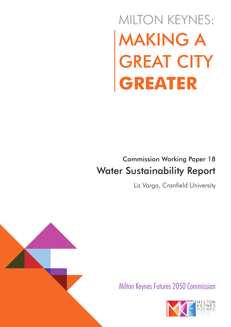# MAKING A GREAT CITY **GREATER** MILTON KEYNES:

# Commission Working Paper 18 Water Sustainability Report

Liz Varga, Cranfield University



Milton Keynes Futures 2050 Commission

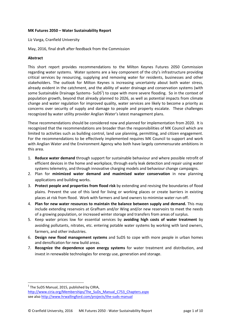## **MK Futures 2050 – Water Sustainability Report**

Liz Varga, Cranfield University

May, 2016, final draft after feedback from the Commission

#### **Abstract**

This short report provides recommendations to the Milton Keynes Futures 2050 Commission regarding water systems. Water systems are a key component of the city's infrastructure providing critical services by resourcing, supplying and removing water for residents, businesses and other stakeholders. The outlook for Milton Keynes is increasing uncertainty about both water stress, already evident in the catchment, and the ability of water drainage and conservation systems (with some Sustainable Drainage Systems- SuDS<sup>1</sup>) to cope with more severe flooding. So in the context of population growth, beyond that already planned to 2026, as well as potential impacts from climate change and water regulation for improved quality, water services are likely to become a priority as concerns over security of supply and damage to people and property escalate. These challenges recognized by water utility provider Anglian Water's latest management plans.

These recommendations should be considered now and planned for implementation from 2020. It is recognized that the recommendations are broader than the responsibilities of MK Council which are limited to activities such as building control, land use planning, permitting, and citizen engagement. For the recommendations to be effectively implemented requires MK Council to support and work with Anglian Water and the Environment Agency who both have largely commensurate ambitions in this area.

- 1. **Reduce water demand** through support for sustainable behaviour and where possible retrofit of efficient devices in the home and workplace, through early leak detection and repair using water systems telemetry, and through innovative charging models and behaviour change campaigns.
- 2. Plan for **minimized water demand and maximised water conservation** in new planning applications and building works.
- 3. **Protect people and properties from flood risk** by extending and revising the boundaries of flood plains. Prevent the use of this land for living or working places or create barriers in existing places at risk from flood. Work with farmers and land owners to minimise water run-off.
- 4. **Plan for new water resources to maintain the balance between supply and demand.** This may include extending reservoirs at Grafham and/or Wing and/or new reservoirs to meet the needs of a growing population, or increased winter storage and transfers from areas of surplus.
- 5. Keep water prices low for essential services by **avoiding high costs of water treatment** by avoiding pollutants, nitrates, etc. entering potable water systems by working with land owners, farmers, and other industries.
- 6. **Design new flood management systems** and SuDS to cope with more people in urban homes and densification for new build areas.
- 7. **Recognize the dependence upon energy systems** for water treatment and distribution, and invest in renewable technologies for energy use, generation and storage.

 $<sup>1</sup>$  The SuDS Manual, 2015, published by CIRIA,</sup>

http://www.ciria.org/Memberships/The\_SuDs\_Manual\_C753\_Chapters.aspx see also http://www.hrwallingford.com/projects/the-suds-manual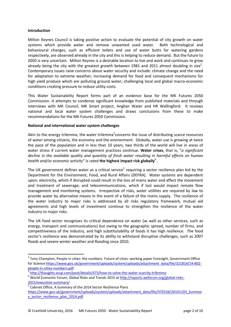### **Introduction**

Milton Keynes Council is taking positive action to evaluate the potential of city growth on water systems which provide water and remove unwanted used water. Both technological and behavioural changes, such as efficient toilets and use of water butts for watering gardens respectively, are observed already in the city and this is helping to reduce demand. But the future to 2050 is very uncertain. Milton Keynes is a desirable location to live and work and continues to grow already being the city with the greatest growth between 1981 and 2011 almost doubling in size<sup>2</sup>. Contemporary issues raise concerns about water security and include: climate change and the need for adaptation to extreme weather; increasing demand for food and consequent mechanisms for high yield produce which are polluting ground water; challenging local and global macro-economic conditions creating pressure to reduce utility costs.

This Water Sustainability Report forms part of an evidence base for the MK Futures 2050 Commission. It attempts to condense significant knowledge from published materials and through interviews with MK Council, MK Smart project, Anglian Water and HR Wallingford. It reviews national and local water system challenges and draws conclusions from these to make recommendations for the MK Futures 2050 Commission.

# **National and international water system challenges**

Akin to the energy trilemma, the water trilemma<sup>3</sup>concerns the issue of distributing scarce resources of water among citizens, the economy and the environment. Globally, water use is growing at twice the pace of the population and in less than 10 years, two thirds of the world will live in areas of water stress if current water management practices continue. **Water crises**, that is, "*a significant decline in the available quality and quantity of fresh water resulting in harmful effects on human* health and/or economic activity" is rated **the highest impact risk globally**<sup>4</sup>.

The UK government defines water as a critical service<sup>5</sup> requiring a sector resilience plan led by the Department for the Environment, Food, and Rural Affairs (DEFRA). Water systems are dependent upon: electricity, which if disrupted could result in the loss of mains water and affect the movement and treatment of sewerage; and telecommunications, which if lost would impact remote flow management and monitoring systems. Irrespective of risks, water utilities are required by law to provide water by alternative means in the event of a failure of the mains supply. The resilience of the water industry to major risks is addressed by all risks regulatory framework, mutual aid agreements and high levels of investment continue to strengthen the resilience of the water industry to major risks.

The UK food sector recognises its critical dependence on water (as well as other services, such as energy, transport and communications) but owing to the geographic spread, number of firms, and competitiveness of the industry, and high substitutability of foods it has high resilience. The food sector's resilience was demonstrated by its ability to withstand disruptive challenges, such as 2007 floods and severe winter weather and flooding since 2010.

 $^{2}$  Tony Champion, People in cities: the numbers. Future of cities: working paper Foresight, Government Office for Science https://www.gov.uk/government/uploads/system/uploads/attachment\_data/file/321814/14-802 people-in-cities-numbers.pdf<br>3 http://thoughts.orup.com/s

http://thoughts.arup.com/post/details/473/how-to-solve-the-water-scarcity-trilemma

<sup>&</sup>lt;sup>4</sup> World Economic Forum, Global Risks and Trends 2015 at http://reports.weforum.org/global-risks-2015/executive-summary/

<sup>5</sup> Cabinet Office, A Summary of the 2014 Sector Resilience Plans

https://www.gov.uk/government/uploads/system/uploads/attachment\_data/file/370156/20141103\_Summar y\_sector\_resilience\_plan\_2014.pdf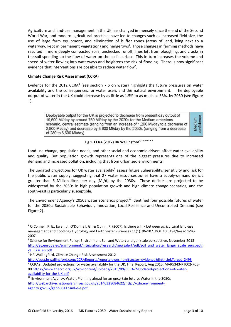Agriculture and land-use management in the UK has changed immensely since the end of the Second World War, and modern agricultural practices have led to changes such as increased field size, the use of large farm equipment, and elimination of buffer zones (areas of land, lying next to a waterway, kept in permanent vegetation) and hedgerows<sup>6</sup>. Those changes in farming methods have resulted in more deeply compacted soils, unchecked runoff, lines left from ploughing, and cracks in the soil speeding up the flow of water on the soil's surface. This in turn increases the volume and speed of water flowing into waterways and heightens the risk of flooding. There is now significant evidence that interventions are possible to reduce water flow<sup>7</sup>.

# **Climate Change Risk Assessment (CCRA)**

Evidence for the 2012 CCRA<sup>8</sup> (see section 7.6 on water) highlights the future pressures on water availability and the consequences for water users and the natural environment. The deployable output of water in the UK could decrease by as little as 1.5% to as much as 33%, by 2050 (see Figure 1).

> Deployable output for the UK is projected to decrease from present day output of 19,500 Ml/day by around 750 Ml/day by the 2020s for the Medium emissions scenario, central estimate (ranging from an increase of 1,200 MI/day to a decrease of 2,900 MI/day) and decrease by 3,600 MI/day by the 2050s (ranging from a decrease of 280 to 6,600 MI/day).

confidence Medium

# **Fig 1. CCRA (2012) HR Wallingford8, section 7.6**

Land use change, population needs, and other social and economic drivers affect water availability and quality. But population growth represents one of the biggest pressures due to increased demand and increased pollution, including that from urbanized environments.

The updated projections for UK water availability<sup>9</sup> assess future vulnerability, sensitivity and risk for the public water supply, suggesting that 27 water resources zones have a supply-demand deficit greater than 5 Million litres per day (Ml/d) by the 2030s. These deficits are projected to be widespread by the 2050s in high population growth and high climate change scenarios, and the south-east is particularly susceptible.

The Environment Agency's 2050s water scenarios project<sup>10</sup> identified four possible futures of water for the 2050s: Sustainable Behaviour, Innovation, Local Resilience and Uncontrolled Demand (see Figure 2).

<sup>6</sup> O'Connell, P. E., Ewen, J., O'Donnell, G., & Quinn, P. (2007). Is there a link between agricultural land-use management and flooding? Hydrology and Earth System Sciences 11(1): 96-107. DOI: 10.5194/hess-11-96- 2007.

<sup>&</sup>lt;sup>7</sup> Science for Environment Policy, Environment Soil and Water: a larger-scale perspective, November 2015 http://ec.europa.eu/environment/integration/research/newsalert/pdf/soil\_and\_water\_larger\_scale\_perspecti ve\_52si\_en.pdf

<sup>8</sup> HR Wallingford, Climate Change Risk Assessment 2012

http://ccra.hrwallingford.com/CCRAReports/reportviewer.html?sector=evidence&link=LinkTarget\_2493<br>9 CCRA2: Undeted assisting for veter availability for the UK; Final Report, Avg 2015, MARE242, BT002 CCRA2: Updated projections for water availability for the UK: Final Report, Aug 2015, MAR5343-RT002-R05- 00 https://www.theccc.org.uk/wp-content/uploads/2015/09/CCRA-2-Updated-projections-of-wateravailability-for-the-UK.pdf

 $^{10}$  Environment Agency: Water: Planning ahead for an uncertain future: Water in the 2050s http://webarchive.nationalarchives.gov.uk/20140328084622/http://cdn.environmentagency.gov.uk/geho0811bsml-e-e.pdf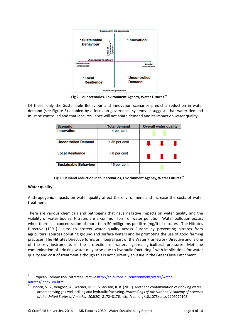

**Fig 2. Four scenarios, Environment Agency, Water Futures<sup>10</sup>**

Of these, only the Sustainable Behaviour and Innovation scenarios predict a reduction in water demand (see Figure 3) enabled by a focus on governance systems. It suggests that water demand must be controlled and that local resilience will not abate demand and its impact on water quality.

| <b>Scenario</b>              | <b>Total demand</b> | <b>Overall water quality</b> |
|------------------------------|---------------------|------------------------------|
| <b>Innovation</b>            | - 4 per cent        |                              |
| <b>Uncontrolled Demand</b>   | +35 per cent        |                              |
| <b>Local Resilience</b>      | $+8$ per cent       |                              |
| <b>Sustainable Behaviour</b> | - 15 per cent       |                              |

**Fig 3. Demand reduction in four scenarios, Environment Agency, Water Futures<sup>10</sup>**

# **Water quality**

Anthropogenic impacts on water quality affect the environment and increase the costs of water treatment.

There are various chemicals and pathogens that have negative impacts on water quality and the viability of water bodies. Nitrates are a common form of water pollution. Water pollution occurs when there is a concentration of more than 50 milligrams per litre (mg/l) of nitrates. The Nitrates Directive  $(1991)^{11}$  aims to protect water quality across Europe by preventing nitrates from agricultural sources polluting ground and surface waters and by promoting the use of good farming practices. The Nitrates Directive forms an integral part of the Water Framework Directive and is one of the key instruments in the protection of waters against agricultural pressures. Methane contamination of drinking water may arise due to hydraulic fracturing<sup>12</sup> with implications for water quality and cost of treatment although this is not currently an issue in the Great Ouse Catchment.

<sup>&</sup>lt;sup>11</sup> European Commission, Nitrates Directive http://ec.europa.eu/environment/water/waternitrates/index\_en.html

<sup>&</sup>lt;sup>12</sup> Osborn, S. G., Vengosh, A., Warner, N. R., & Jackson, R. B. (2011). Methane contamination of drinking water accompanying gas-well drilling and hydraulic fracturing. *Proceedings of the National Academy of Sciences of the United States of America*, *108*(20), 8172–8176. http://doi.org/10.1073/pnas.1109270108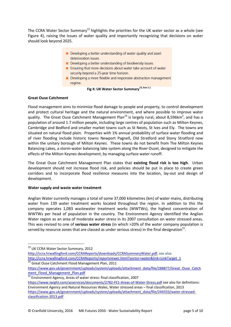The CCRA Water Sector Summary<sup>13</sup> highlights the priorities for the UK water sector as a whole (see Figure 4), raising the issues of water quality and importantly recognizing that decisions on water should look beyond 2025.

- Developing a better understanding of water quality and asset deterioration issues.
- Developing a better understanding of biodiversity issues.
- Ensuring that more decisions about water take account of water security beyond a 25-year time horizon.
- Developing a more flexible and responsive abstraction management regime.

# **Fig 4: UK Water Sector Summary13, box 1.1**

# **Great Ouse Catchment**

Flood management aims to minimize flood damage to people and property, to control development and protect cultural heritage and the natural environment, and where possible to improve water quality. The Great Ouse Catchment Management Plan<sup>14</sup> is largely rural, about 8,596km<sup>2</sup>, and has a population of around 1.7 million people, including large centres of population such as Milton Keynes, Cambridge and Bedford and smaller market towns such as St Neots, St Ives and Ely. The towns are situated on natural flood plain. Properties with 1% annual probability of surface water flooding and of river flooding include historic towns Newport Pagnell, Old Stratford and Stony Stratford now within the unitary borough of Milton Keynes. These towns do not benefit from The Milton Keynes Balancing Lakes, a storm-water balancing lake system along the River Ouzel, designed to mitigate the effects of the Milton Keynes development, by managing surface water runoff.

The Great Ouse Catchment Management Plan states that **existing flood risk is too high**. Urban development should not increase flood risk, and policies should be put in place to create green corridors and to incorporate flood resilience measures into the location, lay-out and design of development.

# **Water supply and waste water treatment**

Anglian Water currently manages a total of some 37,000 kilometres (km) of water mains, distributing water from 139 water treatment works located throughout the region. In addition to this the company operates 1,083 wastewater treatment works (WWTWs), the highest concentration of WWTWs per head of population in the country. The Environment Agency identified the Anglian Water region as an area of moderate water stress in its 2007 consultation on water stressed areas. This was revised to one of **serious water stress** (in which >20% of the water company population is served by resource zones that are classed as under serious stress) in the final designation<sup>15</sup>.

<sup>&</sup>lt;sup>13</sup> UK CCRA Water Sector Summary, 2012

http://ccra.hrwallingford.com/CCRAReports/downloads/CCRASummaryWater.pdf, see also http://ccra.hrwallingford.com/CCRAReports/reportviewer.html?sector=water&link=LinkTarget\_1 14 Great Ouse Catchment Flood Management Plan, 2011

https://www.gov.uk/government/uploads/system/uploads/attachment\_data/file/288877/Great\_Ouse\_Catch ment\_Flood\_Management\_Plan.pdf

<sup>&</sup>lt;sup>15</sup> Environment Agency, Areas of water stress: final classification, 2007 https://www.iwight.com/azservices/documents/2782-FE1-Areas-of-Water-Stress.pdf see also for definitions: Environment Agency and Natural Resources Wales, Water stressed areas – final classification, 2013 https://www.gov.uk/government/uploads/system/uploads/attachment\_data/file/244333/water-stressedclassification-2013.pdf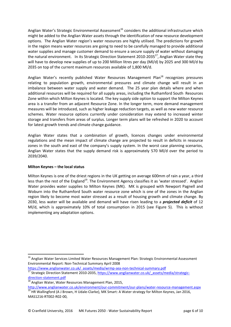Anglian Water's Strategic Environmental Assessment<sup>16</sup> considers the additional infrastructure which might be added to the Anglian Water assets through the identification of new resource development options. The Anglian Water region's water resources are highly utilised. The predictions for growth in the region means water resources are going to need to be carefully managed to provide additional water supplies and manage customer demand to ensure a secure supply of water without damaging the natural environment. In its Strategic Direction Statement 2010-2035<sup>17</sup>, Anglian Water state they will have to develop new supplies of up to 200 Million litres per day (Ml/d) by 2025 and 300 Ml/d by 2035 on top of the current maximum resources available of 1,800 Ml/d.

Anglian Water's recently published Water Resources Management Plan<sup>18</sup> recognizes pressures relating to population growth, environmental pressures and climate change will result in an imbalance between water supply and water demand. The 25 year plan details where and when additional resources will be required for all supply areas, including the Ruthamford South Resources Zone within which Milton Keynes is located. The key supply side option to support the Milton Keynes area is a transfer from an adjacent Resource Zone. In the longer term, more demand management measures will be introduced, such as higher leakage reduction targets, as well as new water resource schemes. Water resource options currently under consideration may extend to increased winter storage and transfers from areas of surplus. Longer term plans will be refreshed in 2020 to account for latest growth trends and climate change guidance.

Anglian Water states that a combination of growth, licences changes under environmental regulations and the mean impact of climate change are projected to result in deficits in resource zones in the south and east of the company's supply system. In the worst case planning scenarios, Anglian Water states that the supply demand risk is approximately 570 Ml/d over the period to 2039/2040.

# **Milton Keynes – the local status**

Milton Keynes is one of the driest regions in the UK getting on average 600mm of rain a year, a third less than the rest of the England<sup>19</sup>. The Environment Agency classifies it as 'water stressed'. Anglian Water provides water supplies to Milton Keynes (MK). MK is grouped with Newport Pagnell and Woburn into the Ruthamford South water resource zone which is one of the zones in the Anglian region likely to become most water stressed as a result of housing growth and climate change. By 2030, less water will be available and demand will have risen leading to a *projected deficit* of 12 Ml/d, which is approximately 10% of total consumption in 2015 (see Figure 5). This is without implementing any adaptation options.

<sup>&</sup>lt;sup>16</sup> Anglian Water Services Limited Water Resources Management Plan: Strategic Environmental Assessment Environmental Report: Non-Technical Summary April 2008

https://www.anglianwater.co.uk/\_assets/media/wrmp-sea-non-technical-summary.pdf <sup>17</sup> Strategic Direction Statement 2010-2035, https://www.anglianwater.co.uk/ assets/media/strategicdirection-statement.pdf

<sup>&</sup>lt;sup>18</sup> Anglian Water, Water Resources Management Plan, 2015,

http://www.anglianwater.co.uk/environment/our-commitment/our-plans/water-resource-management.aspx  $\frac{19}{19}$  HR Wallingford (A J Brown, H Udale-Clarke), MK Smart: A Water strategy for Milton Keynes, Jan 2016, MAS1216-RT002-R02-00,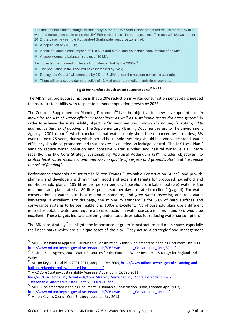The most recent climate change impact analysis for the UK Water Sector presented results for the UK at a water resource zone scale using the UKCP09 probabilistic climate projections<sup>1</sup>. The analysis shows that for 2012, the baseline year, the Ruthamford South water resource zone had:

- A population of 778,000;
- A total household consumption of 110 MI/d and a total non-household consumption of 36 MI/d;
- A supply-demand balance<sup>2</sup> surplus of 16 MI/d.

It is projected, with a medium level of confidence, that by the  $2030s$ :<sup>3</sup>:

- The population in the zone will have increased by 24%;
- Deployable Output<sup>4</sup> will decrease by 2%, or 6 MI/d, under the medium emissions scenario;
- There will be a supply-demand deficit of 12 MI/d under the medium emissions scenario.

# **Fig 5: Ruthamford South water resource zone16, box 1.1**

The MK:Smart project assumption is that a 20% reduction in water consumption per capita is needed to ensure sustainability with respect to planned population growth by 2026.

The Council's Supplementary Planning Document<sup>20</sup> has the objective for new developments to "*to maximise the use of water efficiency techniques as well as sustainable urban drainage system*" in order to achieve the sustainability objective "*to maintain and improve the borough's water quality and reduce the risk of flooding".* The Supplementary Planning Document refers to The Environment Agency's 2001 report<sup>21</sup> which concluded that water supply should be enhanced by, a modest, 5% over the next 25 years, during which period household metering should become widespread, water efficiency should be promoted and that progress is needed on leakage control. The MK Local Plan<sup>22</sup> aims to reduce water pollution and conserve water supplies and natural water levels. More recently, the MK Core Strategy Sustainability Appraisal Addendum (2)<sup>23</sup> includes objectives "to *protect local water resources and improve the quality of surface and groundwater*" and "*to reduce the risk of flooding*".

Performance standards are set out in Milton Keynes Sustainable Construction Guide<sup>24</sup> and provide planners and developers with minimum, good and excellent targets for proposed household and non-household plans. 105 litres per person per day household drinkable (potable) water is the minimum, and plans rated at 80 litres per person per day are rated excellent<sup>4</sup> (page 4). For water conservation, a water butt is a minimum standard, and grey water recycling and rain water harvesting is excellent. For drainage, the minimum standard is for 50% of hard surfaces and conveyance systems to be permeable, and 100% is excellent. Non-household plans use a different metric for potable water and require a 25% reduction in water use as a minimum and 75% would be excellent. These targets indicate currently understood thresholds for reducing water consumption.

The MK core strategy<sup>25</sup> highlights the importance of green infrastructure and open space, especially the linear parks which are a unique asset of the city. They act as a strategic flood management

<sup>23</sup> MKC Core Strategy Sustainability Appraisal Addendum (2), Sep 2011 file:///C:/Users/mn2635/Downloads/Core\_Strategy\_Sustainability\_Appraisal\_addendum\_-

<sup>&</sup>lt;sup>20</sup> MKC Sustainability Appraisal: Sustainable Construction Guide: Supplementary Planning Document Dec 2006 http://www.milton-keynes.gov.uk/assets/attach/5083/Sustainable\_Construction\_SPD\_SA.pdf

 $\frac{21}{21}$  Environment Agency, 2001, Water Resources for the Future: a Water Resources Strategy for England and Wales

<sup>&</sup>lt;sup>22</sup> Milton Keynes Local Plan 2001-2011, adopted Dec 2005, http://www.milton-keynes.gov.uk/planning-andbuilding/planning-policy/adopted-local-plan-pdf

Reasonable Alternative Sites Sept 2011%20(1).pdf

<sup>24</sup> MKC Supplementary Planning Document, Sustainable Construction Guide, adopted April 2007, http://www.milton-keynes.gov.uk/assets/attach/5084/Sustainable\_Construction\_SPD.pdf

<sup>25</sup> Milton Keynes Council Core Strategy, adopted July 2013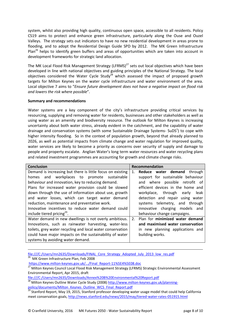system, whilst also providing high quality, continuous open space, accessible to all residents. Policy CS19 aims to protect and enhance green infrastructure, particularly along the Ouse and Ouzel Valleys. The strategy sets out indicators to have no new residential development in areas prone to flooding, and to adopt the Residential Design Guide SPD by 2012. The MK Green Infrastructure Plan<sup>26</sup> helps to identify green buffers and areas of opportunities which are taken into account in development frameworks for strategic land allocation.

The MK Local Flood Risk Management Strategy (LFRMS) $^{27}$  sets out local objectives which have been developed in line with national objectives and guiding principles of the National Strategy. The local objectives considered the Water Cycle Study<sup>28</sup> which assessed the impact of proposed growth targets for Milton Keynes on the water cycle infrastructure and water environment of the area. Local objective 7 aims to "*Ensure future development does not have a negative impact on flood risk and lowers the risk where possible*".

# **Summary and recommendations**

Water systems are a key component of the city's infrastructure providing critical services by resourcing, supplying and removing water for residents, businesses and other stakeholders as well as using water as an amenity and biodiversity resource. The outlook for Milton Keynes is increasing uncertainty about both water stress, already evident in the catchment, and the capability of water drainage and conservation systems (with some Sustainable Drainage Systems- SuDS<sup>1</sup>) to cope with higher intensity flooding. So in the context of population growth, beyond that already planned to 2026, as well as potential impacts from climate change and water regulation for improved quality, water services are likely to become a priority as concerns over security of supply and damage to people and property escalate. Anglian Water's long term water resources and water recycling plans and related investment programmes are accounting for growth and climate change risks.

| <b>Conclusion</b>                                          | Recommendation                        |  |
|------------------------------------------------------------|---------------------------------------|--|
| Demand is increasing but there is little focus on existing | Reduce water demand<br>through<br>1.  |  |
| homes and workplaces to promote sustainable                | support for sustainable behaviour     |  |
| behaviour and innovation, key to reducing demand.          | and where possible retrofit of        |  |
| Plans for increased water provision could be slowed        | efficient devices in the home and     |  |
| down through the use of information about use, growth      | workplace, through early<br>leak      |  |
| and water losses, which can target water demand            | detection and repair using water      |  |
| reduction, maintenance and preventative work.              | systems telemetry, and through        |  |
| Innovative incentives to reduce water demand could         | innovative charging models and        |  |
| include tiered pricing <sup>29</sup> .                     | behaviour change campaigns.           |  |
| Water demand in new dwellings is not overly ambitious.     | Plan for minimized water demand<br>2. |  |
| Innovations, such as rainwater harvesting, water-less      | and maximised water conservation      |  |
| toilets, grey water recycling and local water conservation | in new planning applications and      |  |
| could have major impacts on the sustainability of water    | building works.                       |  |
| systems by avoiding water demand.                          |                                       |  |

file:///C:/Users/mn2635/Downloads/FINAL\_Core\_Strategy\_Adopted\_July\_2013\_low\_res.pdf <sup>26</sup> MK Green Infrastructure Plan, Feb 2008

https://www.milton-keynes.gov.uk/.../Final\_Report-11%5E4%5E08.doc

27 Milton Keynes Council Local Flood Risk Management Strategy (LFRMS) Strategic Environmental Assessment Environmental Report, Apr 2015, draft

file:///C:/Users/mn2635/Downloads/Annex%20B%20Environmental%20Report.pdf

<sup>28</sup> Milton Keynes Outline Water Cycle Study (2008) http://www.milton-keynes.gov.uk/planningpolicy/documents/Milton\_Keynes\_Outline\_WCS\_Final\_Report.pdf

<sup>29</sup> Stanford Report, May 19, 2015, Stanford professor developing water usage model that could help California meet conservation goals, http://news.stanford.edu/news/2015/may/tiered-water-rates-051915.html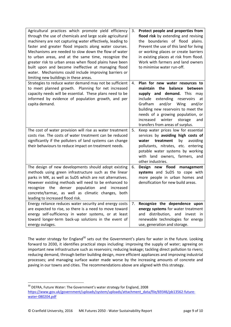| Agricultural practices which promote yield efficiency<br>through the use of chemicals and large scale agricultural<br>machinery are not capturing water effectively, leading to<br>faster and greater flood impacts along water courses.<br>Mechanisms are needed to slow down the flow of water<br>to urban areas, and at the same time, recognize the<br>greater risk to urban areas when flood plains have been<br>built upon and become ineffective at managing flood<br>water. Mechanisms could include improving barriers or<br>limiting new buildings in these areas. | 3. | Protect people and properties from<br>flood risk by extending and revising<br>the boundaries of flood plains.<br>Prevent the use of this land for living<br>or working places or create barriers<br>in existing places at risk from flood.<br>Work with farmers and land owners<br>to minimise water run-off.                                 |
|------------------------------------------------------------------------------------------------------------------------------------------------------------------------------------------------------------------------------------------------------------------------------------------------------------------------------------------------------------------------------------------------------------------------------------------------------------------------------------------------------------------------------------------------------------------------------|----|-----------------------------------------------------------------------------------------------------------------------------------------------------------------------------------------------------------------------------------------------------------------------------------------------------------------------------------------------|
| Strategies to reduce water demand may not be sufficient<br>to meet planned growth. Planning for net increased<br>capacity needs will be essential. These plans need to be<br>informed by evidence of population growth, and per<br>capita demand.                                                                                                                                                                                                                                                                                                                            | 4. | Plan for new water resources to<br>maintain the balance<br>between<br>supply and demand. This may<br>extending<br>include<br>reservoirs<br>at<br>Grafham<br>and/or<br>Wing<br>and/or<br>building new reservoirs to meet the<br>needs of a growing population, or<br>increased<br>winter<br>storage<br>and<br>transfers from areas of surplus. |
| The cost of water provision will rise as water treatment<br>costs rise. The costs of water treatment can be reduced<br>significantly if the polluters of land systems can change<br>their behaviours to reduce impact on treatment needs.                                                                                                                                                                                                                                                                                                                                    | 5. | Keep water prices low for essential<br>services by avoiding high costs of<br>treatment<br>by<br>avoiding<br>water<br>pollutants, nitrates, etc. entering<br>potable water systems by working<br>with land owners, farmers, and<br>other industries.                                                                                           |
| The design of new developments should adopt existing<br>methods using green infrastructure such as the linear<br>parks in MK, as well as SuDS which are not alternatives.<br>However existing methods will need to be enhanced to<br>recognize the denser population<br>and increased<br>concrete/tarmac, as well as climatic changes, both<br>leading to increased flood risk.                                                                                                                                                                                              | 6. | Design new flood management<br>systems and SuDS to cope with<br>more people in urban homes and<br>densification for new build areas.                                                                                                                                                                                                          |
| Energy reliance reduces water security and energy costs<br>are expected to rise, so there is a need to move toward<br>energy self-sufficiency in water systems, or at least<br>toward longer-term back-up solutions in the event of<br>energy outages.                                                                                                                                                                                                                                                                                                                       | 7. | Recognize the dependence upon<br>energy systems for water treatment<br>and distribution, and invest in<br>renewable technologies for energy<br>use, generation and storage.                                                                                                                                                                   |

The water strategy for England<sup>30</sup> sets out the Government's plans for water in the future. Looking forward to 2030, it identifies practical steps including: improving the supply of water; agreeing on important new infrastructure such as reservoirs; reducing leakage; tackling direct pollution to rivers; reducing demand, through better building design, more efficient appliances and improving industrial processes; and managing surface water made worse by the increasing amounts of concrete and paving in our towns and cities. The recommendations above are aligned with this strategy.

<sup>&</sup>lt;sup>30</sup> DEFRA, Future Water: The Government's water strategy for England, 2008 https://www.gov.uk/government/uploads/system/uploads/attachment\_data/file/69346/pb13562-futurewater-080204.pdf